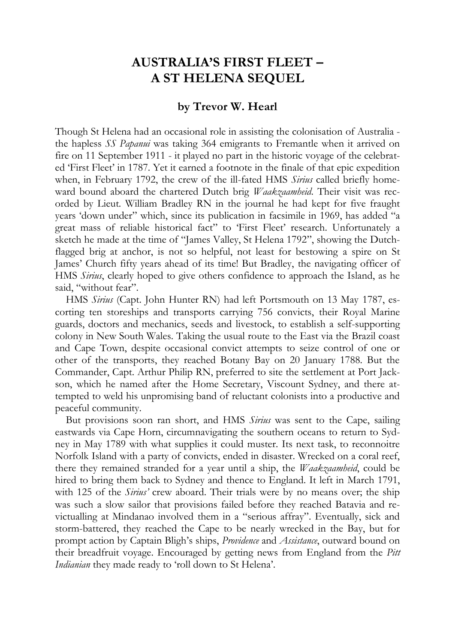# **AUSTRALIA'S FIRST FLEET – A ST HELENA SEQUEL**

#### **by Trevor W. Hearl**

Though St Helena had an occasional role in assisting the colonisation of Australia the hapless *SS Papanui* was taking 364 emigrants to Fremantle when it arrived on fire on 11 September 1911 - it played no part in the historic voyage of the celebrated 'First Fleet' in 1787. Yet it earned a footnote in the finale of that epic expedition when, in February 1792, the crew of the ill-fated HMS *Sirius* called briefly homeward bound aboard the chartered Dutch brig *Waakzaamheid*. Their visit was recorded by Lieut. William Bradley RN in the journal he had kept for five fraught years 'down under" which, since its publication in facsimile in 1969, has added "a great mass of reliable historical fact" to 'First Fleet' research. Unfortunately a sketch he made at the time of "James Valley, St Helena 1792", showing the Dutchflagged brig at anchor, is not so helpful, not least for bestowing a spire on St James' Church fifty years ahead of its time! But Bradley, the navigating officer of HMS *Sirius*, clearly hoped to give others confidence to approach the Island, as he said, "without fear".

HMS *Sirius* (Capt. John Hunter RN) had left Portsmouth on 13 May 1787, escorting ten storeships and transports carrying 756 convicts, their Royal Marine guards, doctors and mechanics, seeds and livestock, to establish a self-supporting colony in New South Wales. Taking the usual route to the East via the Brazil coast and Cape Town, despite occasional convict attempts to seize control of one or other of the transports, they reached Botany Bay on 20 January 1788. But the Commander, Capt. Arthur Philip RN, preferred to site the settlement at Port Jackson, which he named after the Home Secretary, Viscount Sydney, and there attempted to weld his unpromising band of reluctant colonists into a productive and peaceful community.

But provisions soon ran short, and HMS *Sirius* was sent to the Cape, sailing eastwards via Cape Horn, circumnavigating the southern oceans to return to Sydney in May 1789 with what supplies it could muster. Its next task, to reconnoitre Norfolk Island with a party of convicts, ended in disaster. Wrecked on a coral reef, there they remained stranded for a year until a ship, the *Waakzaamheid*, could be hired to bring them back to Sydney and thence to England. It left in March 1791, with 125 of the *Sirius'* crew aboard. Their trials were by no means over; the ship was such a slow sailor that provisions failed before they reached Batavia and revictualling at Mindanao involved them in a "serious affray". Eventually, sick and storm-battered, they reached the Cape to be nearly wrecked in the Bay, but for prompt action by Captain Bligh's ships, *Providence* and *Assistance*, outward bound on their breadfruit voyage. Encouraged by getting news from England from the *Pitt Indianian* they made ready to 'roll down to St Helena'.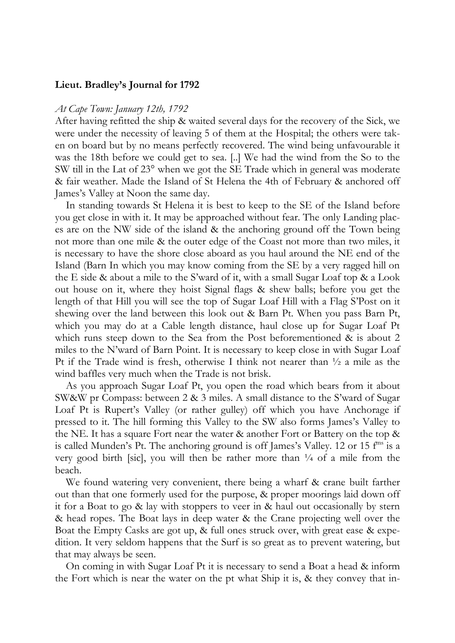#### **Lieut. Bradley's Journal for 1792**

#### *At Cape Town: January 12th, 1792*

After having refitted the ship & waited several days for the recovery of the Sick, we were under the necessity of leaving 5 of them at the Hospital; the others were taken on board but by no means perfectly recovered. The wind being unfavourable it was the 18th before we could get to sea. [..] We had the wind from the So to the SW till in the Lat of 23° when we got the SE Trade which in general was moderate & fair weather. Made the Island of St Helena the 4th of February & anchored off James's Valley at Noon the same day.

In standing towards St Helena it is best to keep to the SE of the Island before you get close in with it. It may be approached without fear. The only Landing places are on the NW side of the island & the anchoring ground off the Town being not more than one mile & the outer edge of the Coast not more than two miles, it is necessary to have the shore close aboard as you haul around the NE end of the Island (Barn In which you may know coming from the SE by a very ragged hill on the E side & about a mile to the S'ward of it, with a small Sugar Loaf top & a Look out house on it, where they hoist Signal flags & shew balls; before you get the length of that Hill you will see the top of Sugar Loaf Hill with a Flag S'Post on it shewing over the land between this look out & Barn Pt. When you pass Barn Pt, which you may do at a Cable length distance, haul close up for Sugar Loaf Pt which runs steep down to the Sea from the Post beforementioned & is about 2 miles to the N'ward of Barn Point. It is necessary to keep close in with Sugar Loaf Pt if the Trade wind is fresh, otherwise I think not nearer than ½ a mile as the wind baffles very much when the Trade is not brisk.

As you approach Sugar Loaf Pt, you open the road which bears from it about SW&W pr Compass: between 2 & 3 miles. A small distance to the S'ward of Sugar Loaf Pt is Rupert's Valley (or rather gulley) off which you have Anchorage if pressed to it. The hill forming this Valley to the SW also forms James's Valley to the NE. It has a square Fort near the water & another Fort or Battery on the top & is called Munden's Pt. The anchoring ground is off James's Valley. 12 or 15  $f<sup>ms</sup>$  is a very good birth [sic], you will then be rather more than  $\frac{1}{4}$  of a mile from the beach.

We found watering very convenient, there being a wharf & crane built farther out than that one formerly used for the purpose, & proper moorings laid down off it for a Boat to go & lay with stoppers to veer in & haul out occasionally by stern & head ropes. The Boat lays in deep water & the Crane projecting well over the Boat the Empty Casks are got up, & full ones struck over, with great ease & expedition. It very seldom happens that the Surf is so great as to prevent watering, but that may always be seen.

On coming in with Sugar Loaf Pt it is necessary to send a Boat a head & inform the Fort which is near the water on the pt what Ship it is, & they convey that in-